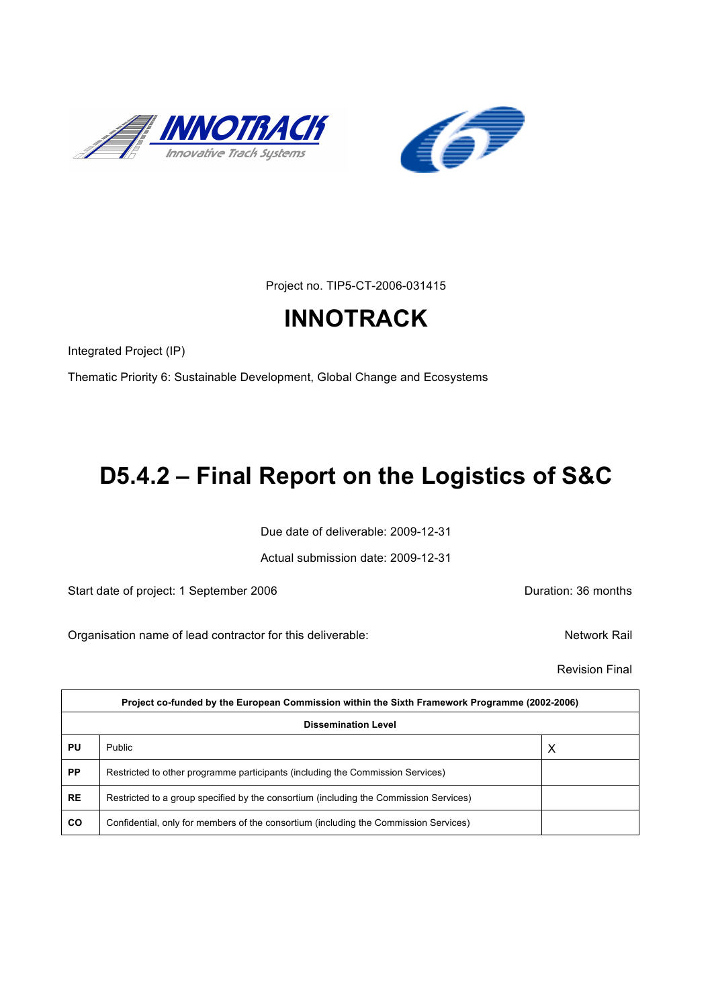



Project no. TIP5-CT-2006-031415

# **INNOTRACK**

Integrated Project (IP)

Thematic Priority 6: Sustainable Development, Global Change and Ecosystems

# **D5.4.2 – Final Report on the Logistics of S&C**

Due date of deliverable: 2009-12-31

Actual submission date: 2009-12-31

Start date of project: 1 September 2006 **Duration: 36 months** 

Organisation name of lead contractor for this deliverable: Network Rail

Revision Final

| Project co-funded by the European Commission within the Sixth Framework Programme (2002-2006) |                                                                                       |   |  |
|-----------------------------------------------------------------------------------------------|---------------------------------------------------------------------------------------|---|--|
| <b>Dissemination Level</b>                                                                    |                                                                                       |   |  |
| PU                                                                                            | Public                                                                                | X |  |
| <b>PP</b>                                                                                     | Restricted to other programme participants (including the Commission Services)        |   |  |
| <b>RE</b>                                                                                     | Restricted to a group specified by the consortium (including the Commission Services) |   |  |
| <b>CO</b>                                                                                     | Confidential, only for members of the consortium (including the Commission Services)  |   |  |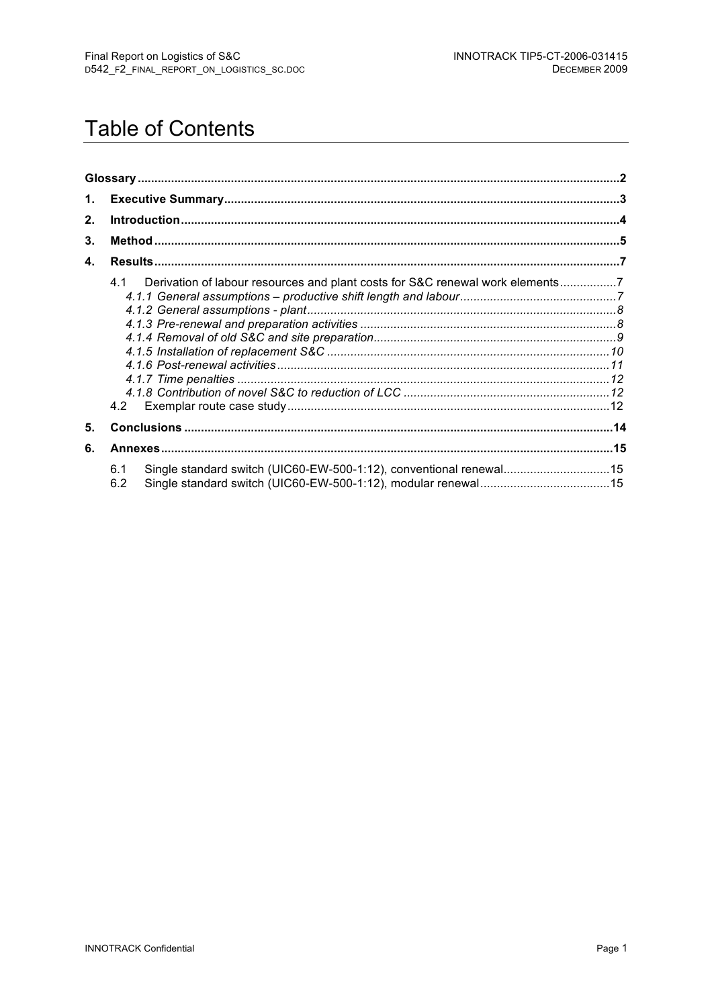# **Table of Contents**

| 1. |                                                                                             |  |
|----|---------------------------------------------------------------------------------------------|--|
| 2. |                                                                                             |  |
| 3. |                                                                                             |  |
| 4. |                                                                                             |  |
|    | Derivation of labour resources and plant costs for S&C renewal work elements7<br>4.1<br>4.2 |  |
| 5. |                                                                                             |  |
| 6. |                                                                                             |  |
|    | Single standard switch (UIC60-EW-500-1:12), conventional renewal15<br>6.1<br>6.2            |  |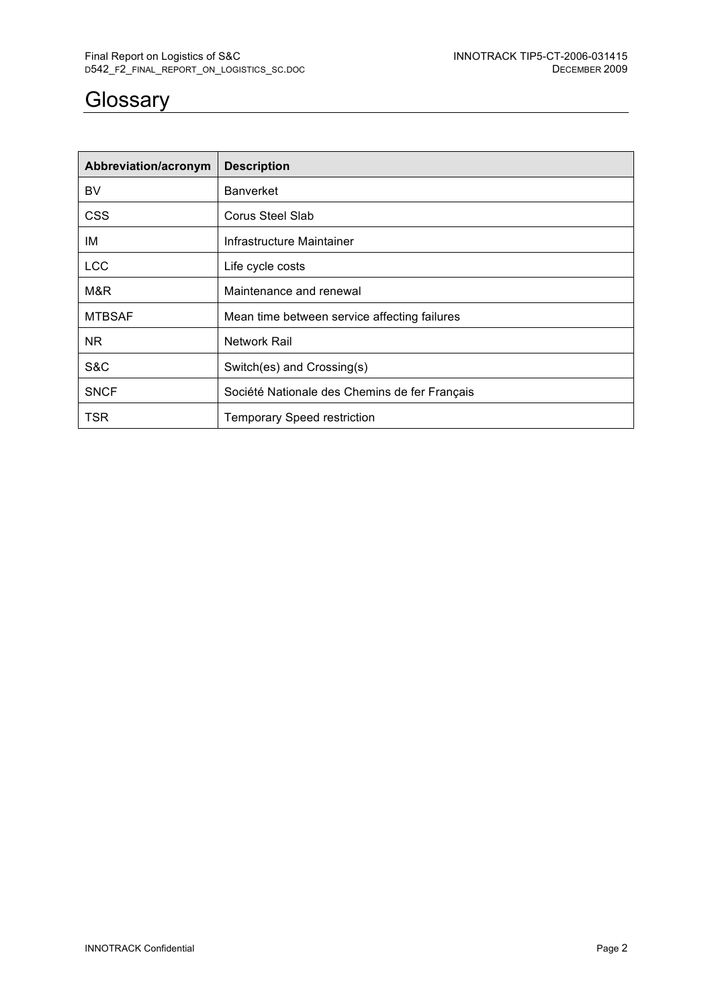## **Glossary**

| Abbreviation/acronym | <b>Description</b>                            |
|----------------------|-----------------------------------------------|
| BV                   | <b>Banverket</b>                              |
| <b>CSS</b>           | Corus Steel Slab                              |
| IM                   | Infrastructure Maintainer                     |
| <b>LCC</b>           | Life cycle costs                              |
| M&R                  | Maintenance and renewal                       |
| <b>MTBSAF</b>        | Mean time between service affecting failures  |
| NR.                  | Network Rail                                  |
| S&C                  | Switch(es) and Crossing(s)                    |
| <b>SNCF</b>          | Société Nationale des Chemins de fer Français |
| <b>TSR</b>           | <b>Temporary Speed restriction</b>            |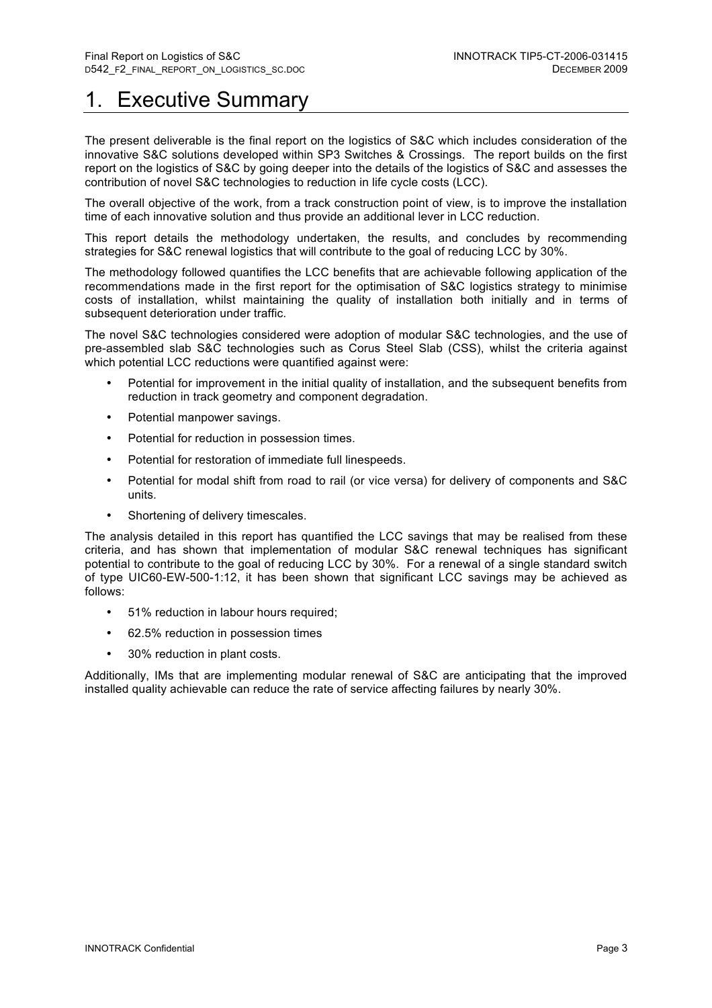## **Executive Summary**

The present deliverable is the final report on the logistics of S&C which includes consideration of the innovative S&C solutions developed within SP3 Switches & Crossings. The report builds on the first report on the logistics of S&C by going deeper into the details of the logistics of S&C and assesses the contribution of novel S&C technologies to reduction in life cycle costs (LCC).

The overall objective of the work, from a track construction point of view, is to improve the installation time of each innovative solution and thus provide an additional lever in LCC reduction.

This report details the methodology undertaken, the results, and concludes by recommending strategies for S&C renewal logistics that will contribute to the goal of reducing LCC by 30%.

The methodology followed quantifies the LCC benefits that are achievable following application of the recommendations made in the first report for the optimisation of S&C logistics strategy to minimise costs of installation, whilst maintaining the quality of installation both initially and in terms of subsequent deterioration under traffic.

The novel S&C technologies considered were adoption of modular S&C technologies, and the use of pre-assembled slab S&C technologies such as Corus Steel Slab (CSS), whilst the criteria against which potential LCC reductions were quantified against were:

- Potential for improvement in the initial quality of installation, and the subsequent benefits from reduction in track geometry and component degradation.
- Potential manpower savings.
- Potential for reduction in possession times.
- Potential for restoration of immediate full linespeeds.
- Potential for modal shift from road to rail (or vice versa) for delivery of components and S&C units.
- Shortening of delivery timescales.

The analysis detailed in this report has quantified the LCC savings that may be realised from these criteria, and has shown that implementation of modular S&C renewal techniques has significant potential to contribute to the goal of reducing LCC by 30%. For a renewal of a single standard switch of type UIC60-EW-500-1:12, it has been shown that significant LCC savings may be achieved as follows:

- 51% reduction in labour hours required;
- 62.5% reduction in possession times
- 30% reduction in plant costs.

Additionally, IMs that are implementing modular renewal of S&C are anticipating that the improved installed quality achievable can reduce the rate of service affecting failures by nearly 30%.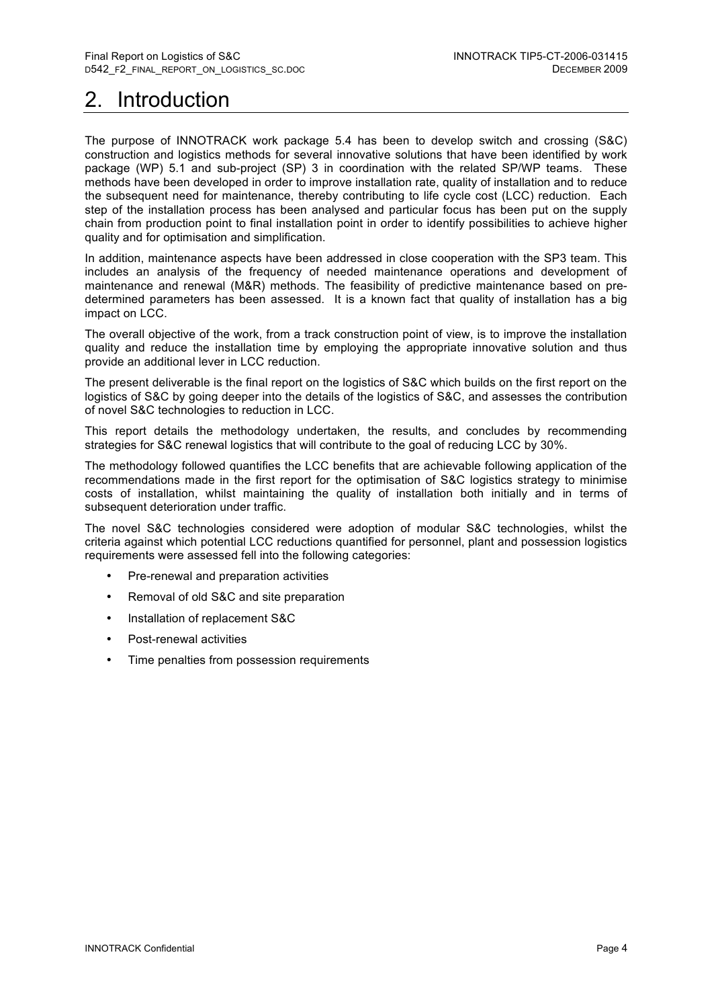# 2. Introduction

The purpose of INNOTRACK work package 5.4 has been to develop switch and crossing (S&C) construction and logistics methods for several innovative solutions that have been identified by work package (WP) 5.1 and sub-project (SP) 3 in coordination with the related SP/WP teams. These methods have been developed in order to improve installation rate, quality of installation and to reduce the subsequent need for maintenance, thereby contributing to life cycle cost (LCC) reduction. Each step of the installation process has been analysed and particular focus has been put on the supply chain from production point to final installation point in order to identify possibilities to achieve higher quality and for optimisation and simplification.

In addition, maintenance aspects have been addressed in close cooperation with the SP3 team. This includes an analysis of the frequency of needed maintenance operations and development of maintenance and renewal (M&R) methods. The feasibility of predictive maintenance based on predetermined parameters has been assessed. It is a known fact that quality of installation has a big impact on LCC.

The overall objective of the work, from a track construction point of view, is to improve the installation quality and reduce the installation time by employing the appropriate innovative solution and thus provide an additional lever in LCC reduction.

The present deliverable is the final report on the logistics of S&C which builds on the first report on the logistics of S&C by going deeper into the details of the logistics of S&C, and assesses the contribution of novel S&C technologies to reduction in LCC.

This report details the methodology undertaken, the results, and concludes by recommending strategies for S&C renewal logistics that will contribute to the goal of reducing LCC by 30%.

The methodology followed quantifies the LCC benefits that are achievable following application of the recommendations made in the first report for the optimisation of S&C logistics strategy to minimise costs of installation, whilst maintaining the quality of installation both initially and in terms of subsequent deterioration under traffic.

The novel S&C technologies considered were adoption of modular S&C technologies, whilst the criteria against which potential LCC reductions quantified for personnel, plant and possession logistics requirements were assessed fell into the following categories:

- Pre-renewal and preparation activities
- Removal of old S&C and site preparation
- Installation of replacement S&C
- Post-renewal activities
- Time penalties from possession requirements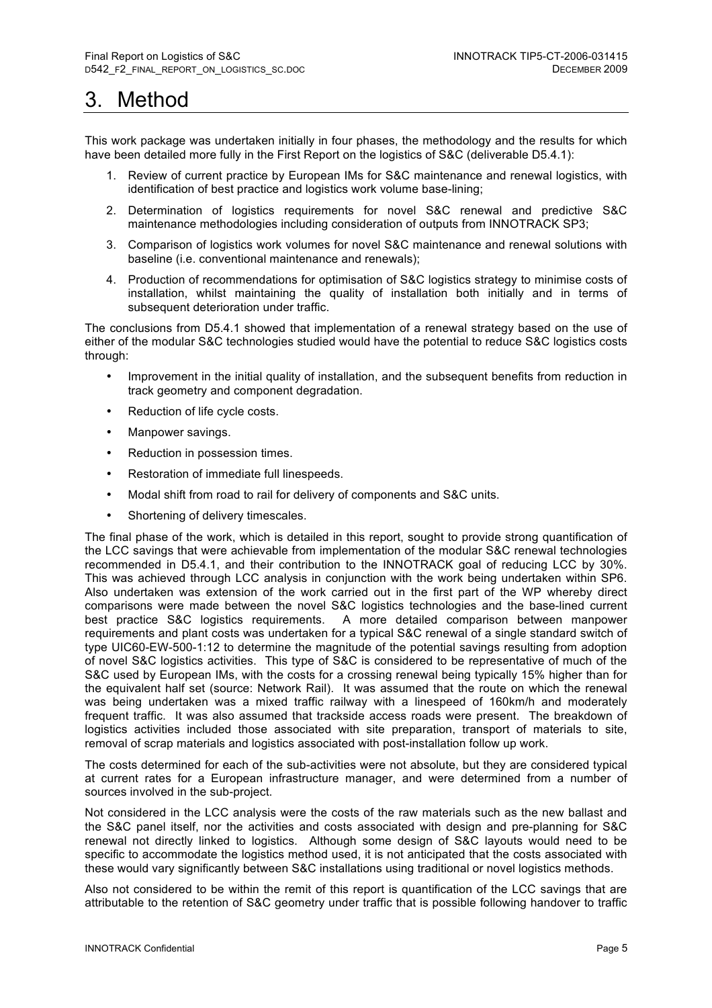## 3. Method

This work package was undertaken initially in four phases, the methodology and the results for which have been detailed more fully in the First Report on the logistics of S&C (deliverable D5.4.1):

- 1. Review of current practice by European IMs for S&C maintenance and renewal logistics, with identification of best practice and logistics work volume base-lining;
- 2. Determination of logistics requirements for novel S&C renewal and predictive S&C maintenance methodologies including consideration of outputs from INNOTRACK SP3;
- 3. Comparison of logistics work volumes for novel S&C maintenance and renewal solutions with baseline (i.e. conventional maintenance and renewals);
- 4. Production of recommendations for optimisation of S&C logistics strategy to minimise costs of installation, whilst maintaining the quality of installation both initially and in terms of subsequent deterioration under traffic.

The conclusions from D5.4.1 showed that implementation of a renewal strategy based on the use of either of the modular S&C technologies studied would have the potential to reduce S&C logistics costs through:

- Improvement in the initial quality of installation, and the subsequent benefits from reduction in track geometry and component degradation.
- Reduction of life cycle costs.
- Manpower savings.
- Reduction in possession times.
- Restoration of immediate full linespeeds.
- Modal shift from road to rail for delivery of components and S&C units.
- Shortening of delivery timescales.

The final phase of the work, which is detailed in this report, sought to provide strong quantification of the LCC savings that were achievable from implementation of the modular S&C renewal technologies recommended in D5.4.1, and their contribution to the INNOTRACK goal of reducing LCC by 30%. This was achieved through LCC analysis in conjunction with the work being undertaken within SP6. Also undertaken was extension of the work carried out in the first part of the WP whereby direct comparisons were made between the novel S&C logistics technologies and the base-lined current best practice S&C logistics requirements. A more detailed comparison between manpower requirements and plant costs was undertaken for a typical S&C renewal of a single standard switch of type UIC60-EW-500-1:12 to determine the magnitude of the potential savings resulting from adoption of novel S&C logistics activities. This type of S&C is considered to be representative of much of the S&C used by European IMs, with the costs for a crossing renewal being typically 15% higher than for the equivalent half set (source: Network Rail). It was assumed that the route on which the renewal was being undertaken was a mixed traffic railway with a linespeed of 160km/h and moderately frequent traffic. It was also assumed that trackside access roads were present. The breakdown of logistics activities included those associated with site preparation, transport of materials to site, removal of scrap materials and logistics associated with post-installation follow up work.

The costs determined for each of the sub-activities were not absolute, but they are considered typical at current rates for a European infrastructure manager, and were determined from a number of sources involved in the sub-project.

Not considered in the LCC analysis were the costs of the raw materials such as the new ballast and the S&C panel itself, nor the activities and costs associated with design and pre-planning for S&C renewal not directly linked to logistics. Although some design of S&C layouts would need to be specific to accommodate the logistics method used, it is not anticipated that the costs associated with these would vary significantly between S&C installations using traditional or novel logistics methods.

Also not considered to be within the remit of this report is quantification of the LCC savings that are attributable to the retention of S&C geometry under traffic that is possible following handover to traffic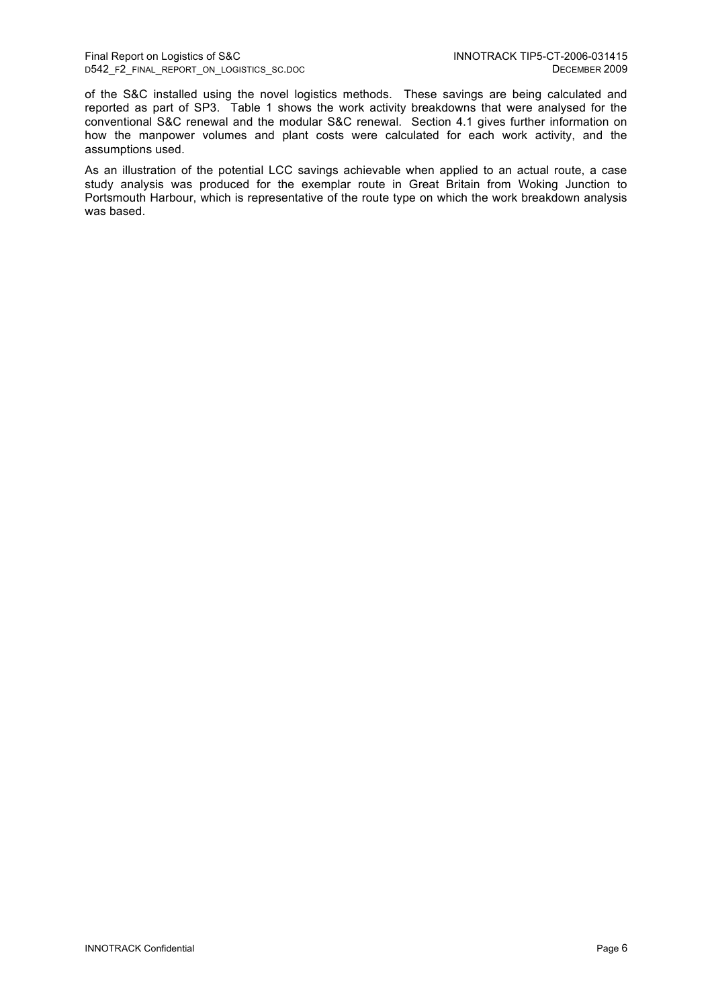of the S&C installed using the novel logistics methods. These savings are being calculated and reported as part of SP3. Table 1 shows the work activity breakdowns that were analysed for the conventional S&C renewal and the modular S&C renewal. Section 4.1 gives further information on how the manpower volumes and plant costs were calculated for each work activity, and the assumptions used.

As an illustration of the potential LCC savings achievable when applied to an actual route, a case study analysis was produced for the exemplar route in Great Britain from Woking Junction to Portsmouth Harbour, which is representative of the route type on which the work breakdown analysis was based.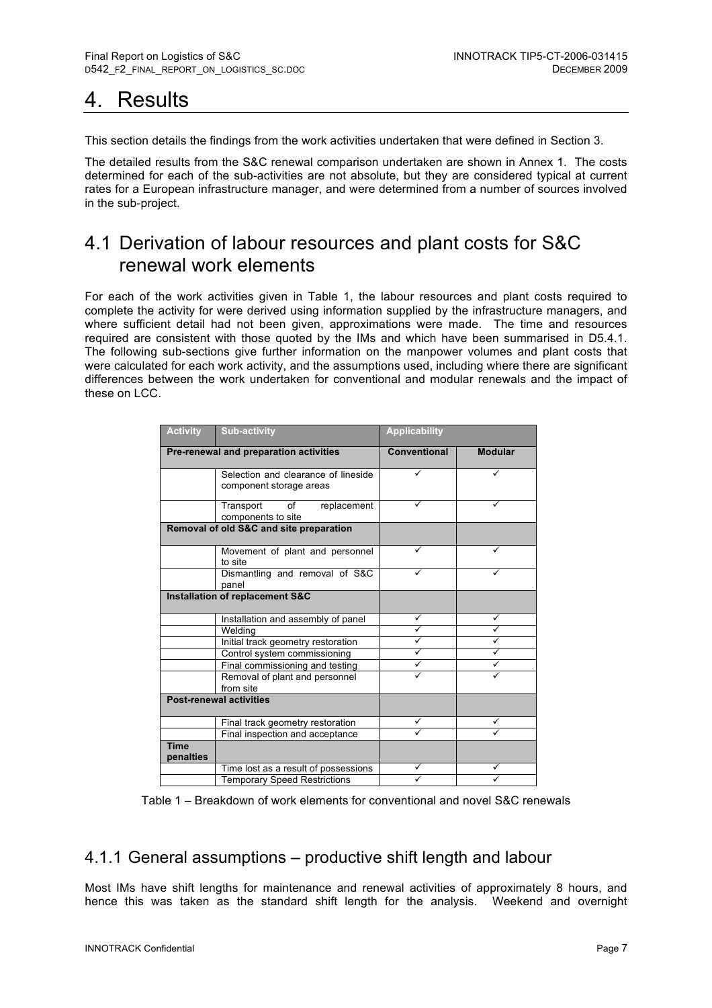## 4. Results

This section details the findings from the work activities undertaken that were defined in Section 3.

The detailed results from the S&C renewal comparison undertaken are shown in Annex 1. The costs determined for each of the sub-activities are not absolute, but they are considered typical at current rates for a European infrastructure manager, and were determined from a number of sources involved in the sub-project.

## 4.1 Derivation of labour resources and plant costs for S&C renewal work elements

For each of the work activities given in Table 1, the labour resources and plant costs required to complete the activity for were derived using information supplied by the infrastructure managers, and where sufficient detail had not been given, approximations were made. The time and resources required are consistent with those quoted by the IMs and which have been summarised in D5.4.1. The following sub-sections give further information on the manpower volumes and plant costs that were calculated for each work activity, and the assumptions used, including where there are significant differences between the work undertaken for conventional and modular renewals and the impact of these on LCC.

| <b>Activity</b>                        | <b>Sub-activity</b>                                            | <b>Applicability</b> |                |
|----------------------------------------|----------------------------------------------------------------|----------------------|----------------|
| Pre-renewal and preparation activities |                                                                | <b>Conventional</b>  | <b>Modular</b> |
|                                        | Selection and clearance of lineside<br>component storage areas | ✓                    | ✓              |
|                                        | of<br>Transport<br>replacement<br>components to site           |                      |                |
|                                        | Removal of old S&C and site preparation                        |                      |                |
|                                        | Movement of plant and personnel<br>to site                     |                      |                |
|                                        | Dismantling and removal of S&C<br>panel                        |                      |                |
|                                        | Installation of replacement S&C                                |                      |                |
|                                        | Installation and assembly of panel                             | ✓                    | ✓              |
|                                        | Welding                                                        | ✓                    | ✓              |
|                                        | Initial track geometry restoration                             | ✓                    |                |
|                                        | Control system commissioning                                   | ✓                    |                |
|                                        | Final commissioning and testing                                |                      |                |
|                                        | Removal of plant and personnel<br>from site                    |                      |                |
|                                        | <b>Post-renewal activities</b>                                 |                      |                |
|                                        | Final track geometry restoration                               |                      |                |
|                                        | Final inspection and acceptance                                |                      |                |
| <b>Time</b><br>penalties               |                                                                |                      |                |
|                                        | Time lost as a result of possessions                           |                      |                |
|                                        | <b>Temporary Speed Restrictions</b>                            |                      |                |

Table 1 – Breakdown of work elements for conventional and novel S&C renewals

## 4.1.1 General assumptions – productive shift length and labour

Most IMs have shift lengths for maintenance and renewal activities of approximately 8 hours, and hence this was taken as the standard shift length for the analysis. Weekend and overnight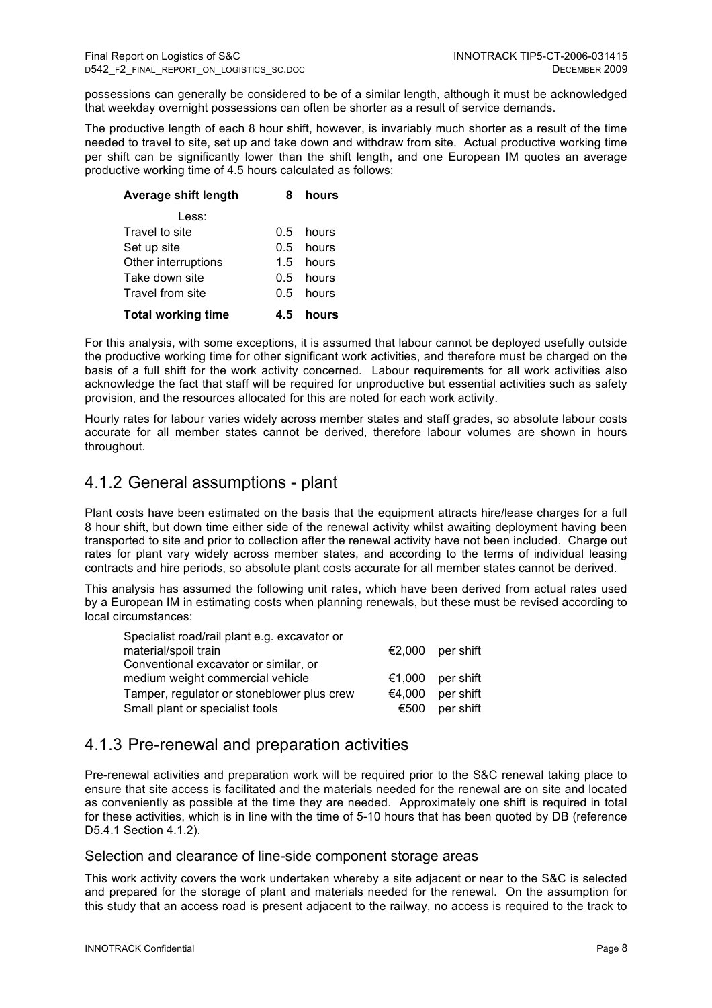possessions can generally be considered to be of a similar length, although it must be acknowledged that weekday overnight possessions can often be shorter as a result of service demands.

The productive length of each 8 hour shift, however, is invariably much shorter as a result of the time needed to travel to site, set up and take down and withdraw from site. Actual productive working time per shift can be significantly lower than the shift length, and one European IM quotes an average productive working time of 4.5 hours calculated as follows:

| Average shift length<br>8        |     | hours |
|----------------------------------|-----|-------|
| Less:                            |     |       |
| Travel to site                   | 0 5 | hours |
| Set up site                      | 0.5 | hours |
| Other interruptions              | 1.5 | hours |
| Take down site                   | 0.5 | hours |
| Travel from site                 | 0 5 | hours |
| <b>Total working time</b><br>4.5 |     | hours |

For this analysis, with some exceptions, it is assumed that labour cannot be deployed usefully outside the productive working time for other significant work activities, and therefore must be charged on the basis of a full shift for the work activity concerned. Labour requirements for all work activities also acknowledge the fact that staff will be required for unproductive but essential activities such as safety provision, and the resources allocated for this are noted for each work activity.

Hourly rates for labour varies widely across member states and staff grades, so absolute labour costs accurate for all member states cannot be derived, therefore labour volumes are shown in hours throughout.

## 4.1.2 General assumptions - plant

Plant costs have been estimated on the basis that the equipment attracts hire/lease charges for a full 8 hour shift, but down time either side of the renewal activity whilst awaiting deployment having been transported to site and prior to collection after the renewal activity have not been included. Charge out rates for plant vary widely across member states, and according to the terms of individual leasing contracts and hire periods, so absolute plant costs accurate for all member states cannot be derived.

This analysis has assumed the following unit rates, which have been derived from actual rates used by a European IM in estimating costs when planning renewals, but these must be revised according to local circumstances:

| Specialist road/rail plant e.g. excavator or |        |                  |
|----------------------------------------------|--------|------------------|
| material/spoil train                         |        | €2,000 per shift |
| Conventional excavator or similar, or        |        |                  |
| medium weight commercial vehicle             | €1.000 | per shift        |
| Tamper, regulator or stoneblower plus crew   | €4.000 | per shift        |
| Small plant or specialist tools              | €500   | per shift        |
|                                              |        |                  |

### 4.1.3 Pre-renewal and preparation activities

Pre-renewal activities and preparation work will be required prior to the S&C renewal taking place to ensure that site access is facilitated and the materials needed for the renewal are on site and located as conveniently as possible at the time they are needed. Approximately one shift is required in total for these activities, which is in line with the time of 5-10 hours that has been quoted by DB (reference D5.4.1 Section 4.1.2).

### Selection and clearance of line-side component storage areas

This work activity covers the work undertaken whereby a site adjacent or near to the S&C is selected and prepared for the storage of plant and materials needed for the renewal. On the assumption for this study that an access road is present adjacent to the railway, no access is required to the track to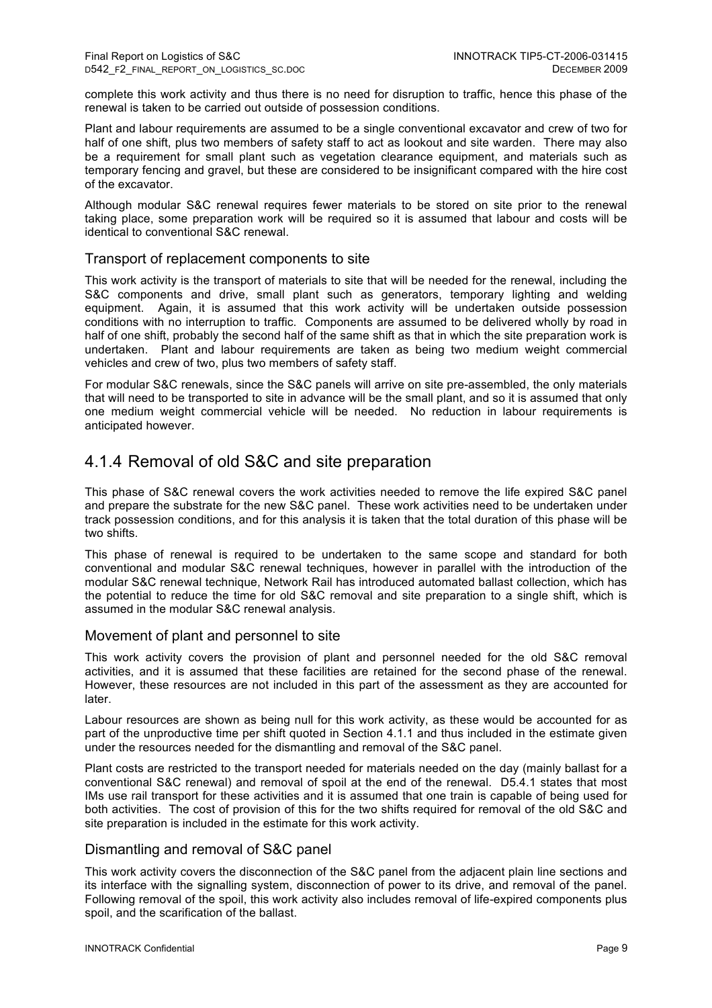complete this work activity and thus there is no need for disruption to traffic, hence this phase of the renewal is taken to be carried out outside of possession conditions.

Plant and labour requirements are assumed to be a single conventional excavator and crew of two for half of one shift, plus two members of safety staff to act as lookout and site warden. There may also be a requirement for small plant such as vegetation clearance equipment, and materials such as temporary fencing and gravel, but these are considered to be insignificant compared with the hire cost of the excavator.

Although modular S&C renewal requires fewer materials to be stored on site prior to the renewal taking place, some preparation work will be required so it is assumed that labour and costs will be identical to conventional S&C renewal.

### Transport of replacement components to site

This work activity is the transport of materials to site that will be needed for the renewal, including the S&C components and drive, small plant such as generators, temporary lighting and welding equipment. Again, it is assumed that this work activity will be undertaken outside possession conditions with no interruption to traffic. Components are assumed to be delivered wholly by road in half of one shift, probably the second half of the same shift as that in which the site preparation work is undertaken. Plant and labour requirements are taken as being two medium weight commercial vehicles and crew of two, plus two members of safety staff.

For modular S&C renewals, since the S&C panels will arrive on site pre-assembled, the only materials that will need to be transported to site in advance will be the small plant, and so it is assumed that only one medium weight commercial vehicle will be needed. No reduction in labour requirements is anticipated however.

## 4.1.4 Removal of old S&C and site preparation

This phase of S&C renewal covers the work activities needed to remove the life expired S&C panel and prepare the substrate for the new S&C panel. These work activities need to be undertaken under track possession conditions, and for this analysis it is taken that the total duration of this phase will be two shifts.

This phase of renewal is required to be undertaken to the same scope and standard for both conventional and modular S&C renewal techniques, however in parallel with the introduction of the modular S&C renewal technique, Network Rail has introduced automated ballast collection, which has the potential to reduce the time for old S&C removal and site preparation to a single shift, which is assumed in the modular S&C renewal analysis.

### Movement of plant and personnel to site

This work activity covers the provision of plant and personnel needed for the old S&C removal activities, and it is assumed that these facilities are retained for the second phase of the renewal. However, these resources are not included in this part of the assessment as they are accounted for later.

Labour resources are shown as being null for this work activity, as these would be accounted for as part of the unproductive time per shift quoted in Section 4.1.1 and thus included in the estimate given under the resources needed for the dismantling and removal of the S&C panel.

Plant costs are restricted to the transport needed for materials needed on the day (mainly ballast for a conventional S&C renewal) and removal of spoil at the end of the renewal. D5.4.1 states that most IMs use rail transport for these activities and it is assumed that one train is capable of being used for both activities. The cost of provision of this for the two shifts required for removal of the old S&C and site preparation is included in the estimate for this work activity.

#### Dismantling and removal of S&C panel

This work activity covers the disconnection of the S&C panel from the adjacent plain line sections and its interface with the signalling system, disconnection of power to its drive, and removal of the panel. Following removal of the spoil, this work activity also includes removal of life-expired components plus spoil, and the scarification of the ballast.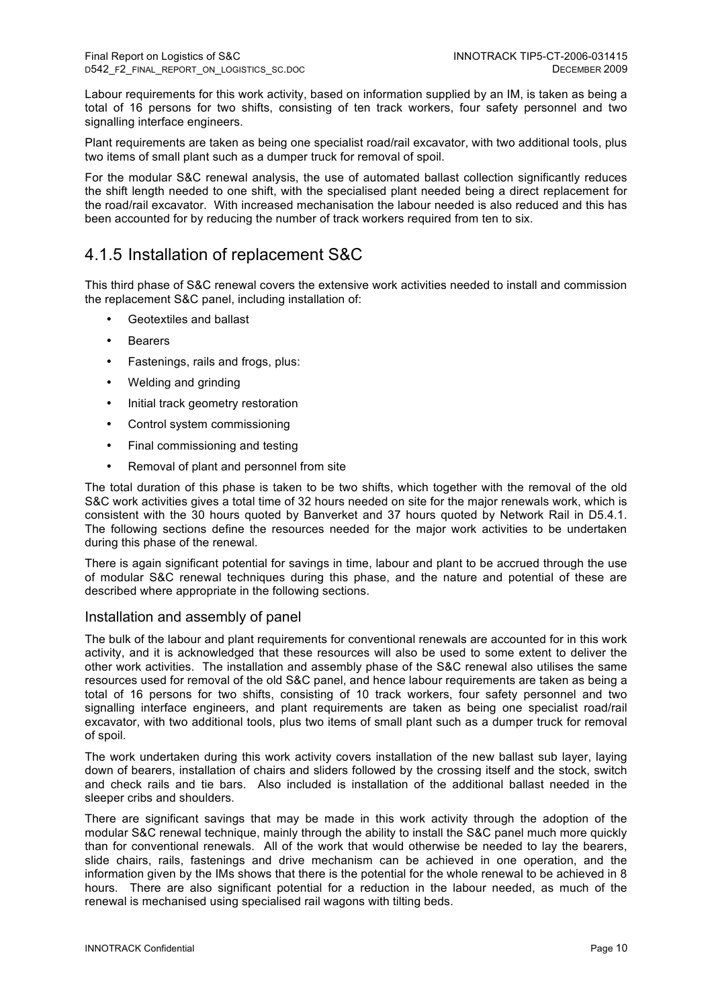Labour requirements for this work activity, based on information supplied by an IM, is taken as being a total of 16 persons for two shifts, consisting of ten track workers, four safety personnel and two signalling interface engineers.

Plant requirements are taken as being one specialist road/rail excavator, with two additional tools, plus two items of small plant such as a dumper truck for removal of spoil.

For the modular S&C renewal analysis, the use of automated ballast collection significantly reduces the shift length needed to one shift, with the specialised plant needed being a direct replacement for the road/rail excavator. With increased mechanisation the labour needed is also reduced and this has been accounted for by reducing the number of track workers required from ten to six.

## 4.1.5 Installation of replacement S&C

This third phase of S&C renewal covers the extensive work activities needed to install and commission the replacement S&C panel, including installation of:

- Geotextiles and ballast
- **Bearers**
- Fastenings, rails and frogs, plus:
- Welding and grinding
- Initial track geometry restoration
- Control system commissioning
- Final commissioning and testing
- Removal of plant and personnel from site

The total duration of this phase is taken to be two shifts, which together with the removal of the old S&C work activities gives a total time of 32 hours needed on site for the major renewals work, which is consistent with the 30 hours quoted by Banverket and 37 hours quoted by Network Rail in D5.4.1. The following sections define the resources needed for the major work activities to be undertaken during this phase of the renewal.

There is again significant potential for savings in time, labour and plant to be accrued through the use of modular S&C renewal techniques during this phase, and the nature and potential of these are described where appropriate in the following sections.

#### Installation and assembly of panel

The bulk of the labour and plant requirements for conventional renewals are accounted for in this work activity, and it is acknowledged that these resources will also be used to some extent to deliver the other work activities. The installation and assembly phase of the S&C renewal also utilises the same resources used for removal of the old S&C panel, and hence labour requirements are taken as being a total of 16 persons for two shifts, consisting of 10 track workers, four safety personnel and two signalling interface engineers, and plant requirements are taken as being one specialist road/rail excavator, with two additional tools, plus two items of small plant such as a dumper truck for removal of spoil.

The work undertaken during this work activity covers installation of the new ballast sub layer, laying down of bearers, installation of chairs and sliders followed by the crossing itself and the stock, switch and check rails and tie bars. Also included is installation of the additional ballast needed in the sleeper cribs and shoulders.

There are significant savings that may be made in this work activity through the adoption of the modular S&C renewal technique, mainly through the ability to install the S&C panel much more quickly than for conventional renewals. All of the work that would otherwise be needed to lay the bearers, slide chairs, rails, fastenings and drive mechanism can be achieved in one operation, and the information given by the IMs shows that there is the potential for the whole renewal to be achieved in 8 hours. There are also significant potential for a reduction in the labour needed, as much of the renewal is mechanised using specialised rail wagons with tilting beds.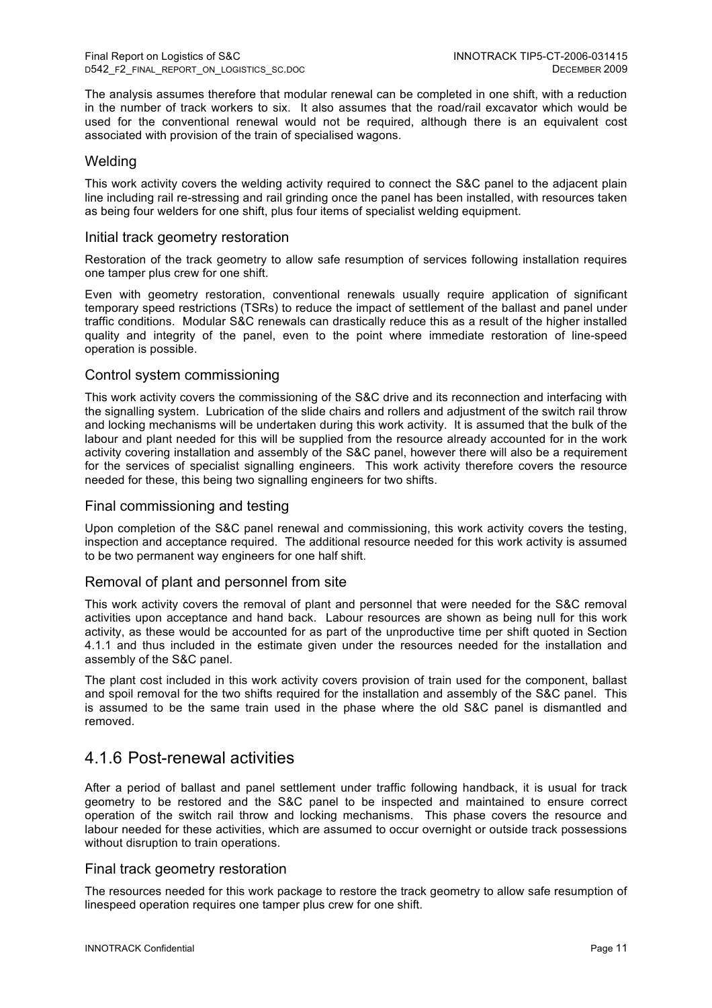The analysis assumes therefore that modular renewal can be completed in one shift, with a reduction in the number of track workers to six. It also assumes that the road/rail excavator which would be used for the conventional renewal would not be required, although there is an equivalent cost associated with provision of the train of specialised wagons.

### **Welding**

This work activity covers the welding activity required to connect the S&C panel to the adjacent plain line including rail re-stressing and rail grinding once the panel has been installed, with resources taken as being four welders for one shift, plus four items of specialist welding equipment.

### Initial track geometry restoration

Restoration of the track geometry to allow safe resumption of services following installation requires one tamper plus crew for one shift.

Even with geometry restoration, conventional renewals usually require application of significant temporary speed restrictions (TSRs) to reduce the impact of settlement of the ballast and panel under traffic conditions. Modular S&C renewals can drastically reduce this as a result of the higher installed quality and integrity of the panel, even to the point where immediate restoration of line-speed operation is possible.

#### Control system commissioning

This work activity covers the commissioning of the S&C drive and its reconnection and interfacing with the signalling system. Lubrication of the slide chairs and rollers and adjustment of the switch rail throw and locking mechanisms will be undertaken during this work activity. It is assumed that the bulk of the labour and plant needed for this will be supplied from the resource already accounted for in the work activity covering installation and assembly of the S&C panel, however there will also be a requirement for the services of specialist signalling engineers. This work activity therefore covers the resource needed for these, this being two signalling engineers for two shifts.

#### Final commissioning and testing

Upon completion of the S&C panel renewal and commissioning, this work activity covers the testing, inspection and acceptance required. The additional resource needed for this work activity is assumed to be two permanent way engineers for one half shift.

#### Removal of plant and personnel from site

This work activity covers the removal of plant and personnel that were needed for the S&C removal activities upon acceptance and hand back. Labour resources are shown as being null for this work activity, as these would be accounted for as part of the unproductive time per shift quoted in Section 4.1.1 and thus included in the estimate given under the resources needed for the installation and assembly of the S&C panel.

The plant cost included in this work activity covers provision of train used for the component, ballast and spoil removal for the two shifts required for the installation and assembly of the S&C panel. This is assumed to be the same train used in the phase where the old S&C panel is dismantled and removed.

### 4.1.6 Post-renewal activities

After a period of ballast and panel settlement under traffic following handback, it is usual for track geometry to be restored and the S&C panel to be inspected and maintained to ensure correct operation of the switch rail throw and locking mechanisms. This phase covers the resource and labour needed for these activities, which are assumed to occur overnight or outside track possessions without disruption to train operations.

#### Final track geometry restoration

The resources needed for this work package to restore the track geometry to allow safe resumption of linespeed operation requires one tamper plus crew for one shift.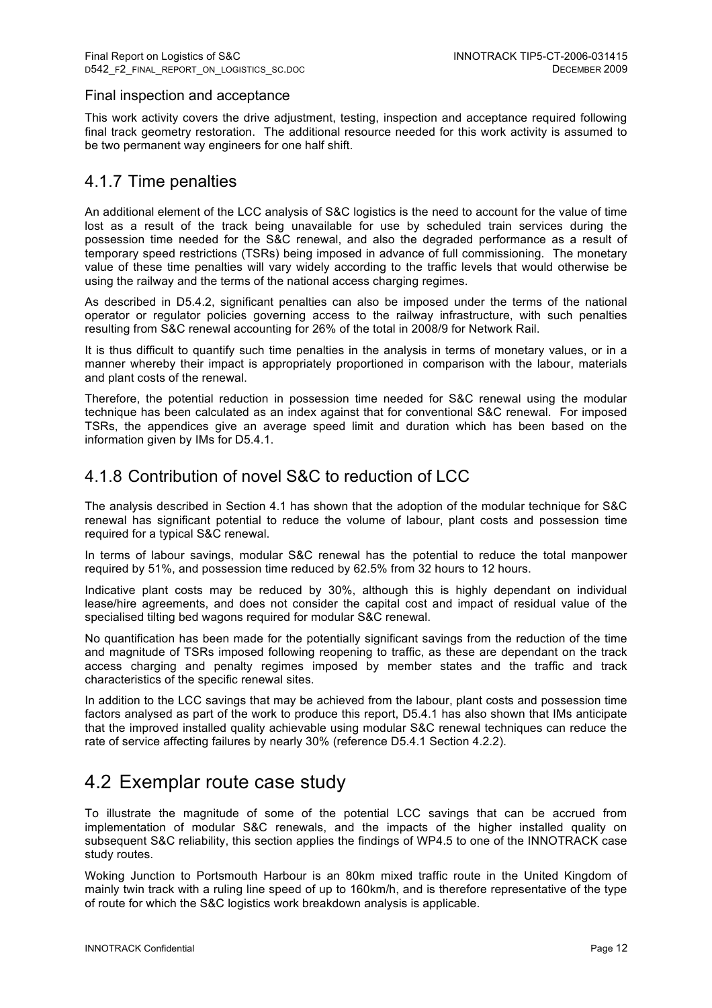### Final inspection and acceptance

This work activity covers the drive adjustment, testing, inspection and acceptance required following final track geometry restoration. The additional resource needed for this work activity is assumed to be two permanent way engineers for one half shift.

## 4.1.7 Time penalties

An additional element of the LCC analysis of S&C logistics is the need to account for the value of time lost as a result of the track being unavailable for use by scheduled train services during the possession time needed for the S&C renewal, and also the degraded performance as a result of temporary speed restrictions (TSRs) being imposed in advance of full commissioning. The monetary value of these time penalties will vary widely according to the traffic levels that would otherwise be using the railway and the terms of the national access charging regimes.

As described in D5.4.2, significant penalties can also be imposed under the terms of the national operator or regulator policies governing access to the railway infrastructure, with such penalties resulting from S&C renewal accounting for 26% of the total in 2008/9 for Network Rail.

It is thus difficult to quantify such time penalties in the analysis in terms of monetary values, or in a manner whereby their impact is appropriately proportioned in comparison with the labour, materials and plant costs of the renewal.

Therefore, the potential reduction in possession time needed for S&C renewal using the modular technique has been calculated as an index against that for conventional S&C renewal. For imposed TSRs, the appendices give an average speed limit and duration which has been based on the information given by IMs for D5.4.1.

## 4.1.8 Contribution of novel S&C to reduction of LCC

The analysis described in Section 4.1 has shown that the adoption of the modular technique for S&C renewal has significant potential to reduce the volume of labour, plant costs and possession time required for a typical S&C renewal.

In terms of labour savings, modular S&C renewal has the potential to reduce the total manpower required by 51%, and possession time reduced by 62.5% from 32 hours to 12 hours.

Indicative plant costs may be reduced by 30%, although this is highly dependant on individual lease/hire agreements, and does not consider the capital cost and impact of residual value of the specialised tilting bed wagons required for modular S&C renewal.

No quantification has been made for the potentially significant savings from the reduction of the time and magnitude of TSRs imposed following reopening to traffic, as these are dependant on the track access charging and penalty regimes imposed by member states and the traffic and track characteristics of the specific renewal sites.

In addition to the LCC savings that may be achieved from the labour, plant costs and possession time factors analysed as part of the work to produce this report, D5.4.1 has also shown that IMs anticipate that the improved installed quality achievable using modular S&C renewal techniques can reduce the rate of service affecting failures by nearly 30% (reference D5.4.1 Section 4.2.2).

## 4.2 Exemplar route case study

To illustrate the magnitude of some of the potential LCC savings that can be accrued from implementation of modular S&C renewals, and the impacts of the higher installed quality on subsequent S&C reliability, this section applies the findings of WP4.5 to one of the INNOTRACK case study routes.

Woking Junction to Portsmouth Harbour is an 80km mixed traffic route in the United Kingdom of mainly twin track with a ruling line speed of up to 160km/h, and is therefore representative of the type of route for which the S&C logistics work breakdown analysis is applicable.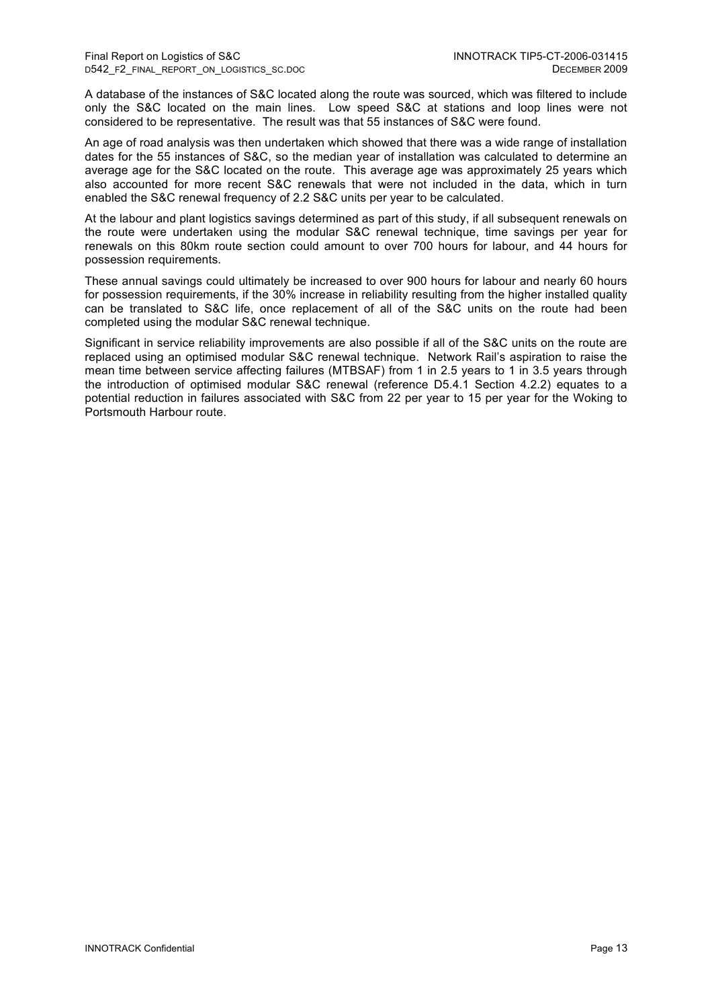A database of the instances of S&C located along the route was sourced, which was filtered to include only the S&C located on the main lines. Low speed S&C at stations and loop lines were not considered to be representative. The result was that 55 instances of S&C were found.

An age of road analysis was then undertaken which showed that there was a wide range of installation dates for the 55 instances of S&C, so the median year of installation was calculated to determine an average age for the S&C located on the route. This average age was approximately 25 years which also accounted for more recent S&C renewals that were not included in the data, which in turn enabled the S&C renewal frequency of 2.2 S&C units per year to be calculated.

At the labour and plant logistics savings determined as part of this study, if all subsequent renewals on the route were undertaken using the modular S&C renewal technique, time savings per year for renewals on this 80km route section could amount to over 700 hours for labour, and 44 hours for possession requirements.

These annual savings could ultimately be increased to over 900 hours for labour and nearly 60 hours for possession requirements, if the 30% increase in reliability resulting from the higher installed quality can be translated to S&C life, once replacement of all of the S&C units on the route had been completed using the modular S&C renewal technique.

Significant in service reliability improvements are also possible if all of the S&C units on the route are replaced using an optimised modular S&C renewal technique. Network Rail's aspiration to raise the mean time between service affecting failures (MTBSAF) from 1 in 2.5 years to 1 in 3.5 years through the introduction of optimised modular S&C renewal (reference D5.4.1 Section 4.2.2) equates to a potential reduction in failures associated with S&C from 22 per year to 15 per year for the Woking to Portsmouth Harbour route.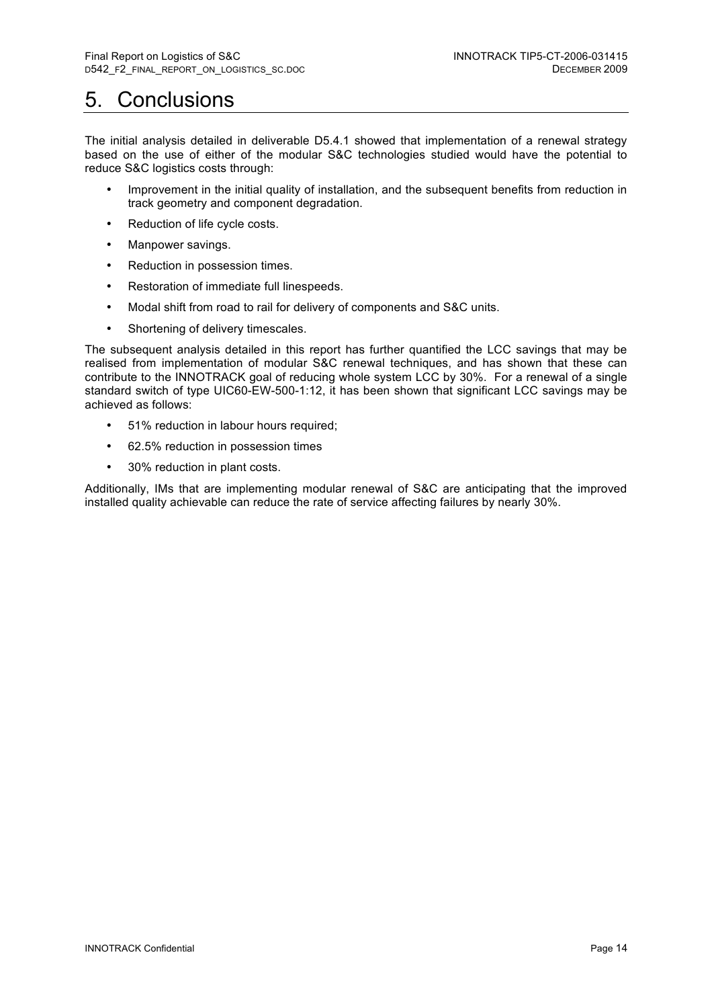## 5. Conclusions

The initial analysis detailed in deliverable D5.4.1 showed that implementation of a renewal strategy based on the use of either of the modular S&C technologies studied would have the potential to reduce S&C logistics costs through:

- Improvement in the initial quality of installation, and the subsequent benefits from reduction in track geometry and component degradation.
- Reduction of life cycle costs.
- Manpower savings.
- Reduction in possession times.
- Restoration of immediate full linespeeds.
- Modal shift from road to rail for delivery of components and S&C units.
- Shortening of delivery timescales.

The subsequent analysis detailed in this report has further quantified the LCC savings that may be realised from implementation of modular S&C renewal techniques, and has shown that these can contribute to the INNOTRACK goal of reducing whole system LCC by 30%. For a renewal of a single standard switch of type UIC60-EW-500-1:12, it has been shown that significant LCC savings may be achieved as follows:

- 51% reduction in labour hours required;
- 62.5% reduction in possession times
- 30% reduction in plant costs.

Additionally, IMs that are implementing modular renewal of S&C are anticipating that the improved installed quality achievable can reduce the rate of service affecting failures by nearly 30%.